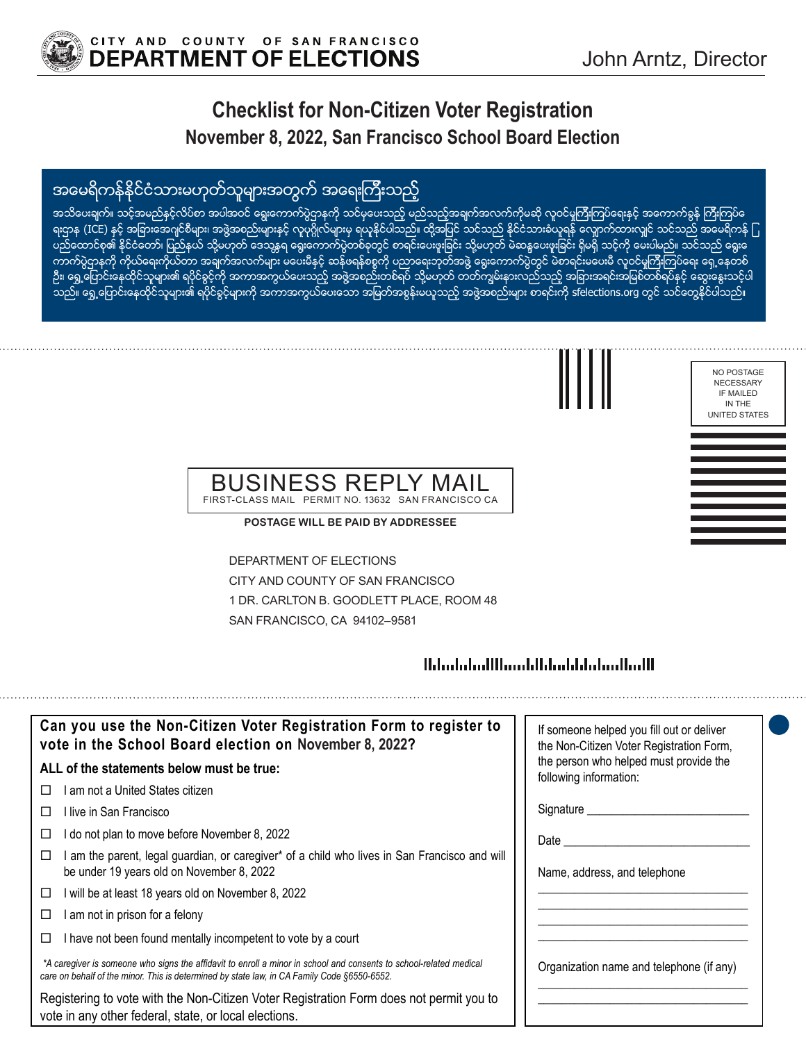

# **Checklist for Non-Citizen Voter Registration November 8, 2022, San Francisco School Board Election**

# အမေရိကန်နိုင်ငံသားမဟုတ်သူများအတွက် အရေးကြီးသည့်

အသိေပးချက်။ သင့္အအမည်နင့္လလိပ်စာ အပါအဝင် ေရွးေကာက်ပွဲဌာနကို သင်မှပေးသည့် မည်သည့်အချက်အလက်ကိုမဆို လူဝင်မှုကြီးကြပ်ရေးနင့် အကောက်ခွန် ကြီးကြပ်ရေ ရးဌာန (ICE) နှင့် အခြားအေဂျင်စီများ၊ အဖွဲအစည်းများနှင့် လူပုဂ္ဂိုလ်များမှ ရယူနိုင်ပါသည်။ ထို့အပြင် သင်သားခံယူရန် လျှောက်ထားလျှင် သင်သည် အမေရိကန် ြ ပည္ေထာင္၀၏ နိုင်ငံတော်၊ ပြည်နယ် သို့မဟုတ် ဒေသနရ ေရွးေကာက်ပွဲတစ်ခုတွင် စာရင်းပေးဖူးရြင်း သို့မဟုတ် မဲဆန္ဒပေးဖူးခြင်း ရှိမရှိ သင့်ကို မေးပါမည်။ သင်သည် ရွေးမ ကာက်ပွဲဌာနကို ကိုယ်ရေးကိုယ်တာ အချက်အလက်များ မပေးမီနင့် ဆန်ဖရန်စစ္စကို ပညာရေးဘုတ်အဖွဲ့ ရွေးကောက်ပွဲတွင် မဲစာရင်းမပေးမီ လူ၀င်မှုကြီးကြပ်ရေး ရှေ့နေတစ် ဦး၊ ရွေ့ဟြောင်းနေထိုင်သူများ၏ ရပိုင်ခွင့်ကို အကာအကွယ်ပေးသည့် အဖွဲ့အစည်းတစ်ရပ် သို့မဟုတ် တတ်ကျွမ်းနားလည်သည့် အျားအရင်းအမြစ်တစ်ရပ်နှင့် ဆွေးနွေးသင့်ပါ သည်။ ရွေ့ပြောင်းနေထိုင်သူများ၏ ရပိုင်ခွင့်များကို အကာအကွယ်ပေးေသာ အမြတ်အစွန်းမယူသည့် အဖွဲ့အစည်းများ စာရင်းကို sfelections.org တွင် သင်တွေနိုင်ပါသည်။



NO POSTAGE NECESSARY IF MAILED IN THE

#### BUSINESS REPL FIRST-CLASS MAIL PERMIT NO. 13632 SAN FRANCISCO CA

**POSTAGE WILL BE PAID BY ADDRESSEE**

DEPARTMENT OF ELECTIONS CITY AND COUNTY OF SAN FRANCISCO 1 DR. CARLTON B. GOODLETT PLACE, ROOM 48 SAN FRANCISCO, CA 94102–9581

### 

| Can you use the Non-Citizen Voter Registration Form to register to<br>vote in the School Board election on November 8, 2022?                                                                                      | If someone helped you fill out or deliver<br>the Non-Citizen Voter Registration Form, |
|-------------------------------------------------------------------------------------------------------------------------------------------------------------------------------------------------------------------|---------------------------------------------------------------------------------------|
| ALL of the statements below must be true:                                                                                                                                                                         | the person who helped must provide the<br>following information:                      |
| am not a United States citizen                                                                                                                                                                                    |                                                                                       |
| ⊟live in San Francisco                                                                                                                                                                                            | Signature _________                                                                   |
| I do not plan to move before November 8, 2022<br>⊔                                                                                                                                                                | Date                                                                                  |
| am the parent, legal guardian, or caregiver* of a child who lives in San Francisco and will<br>be under 19 years old on November 8, 2022                                                                          | Name, address, and telephone                                                          |
| will be at least 18 years old on November 8, 2022<br>□                                                                                                                                                            |                                                                                       |
| am not in prison for a felony<br>□                                                                                                                                                                                |                                                                                       |
| I have not been found mentally incompetent to vote by a court                                                                                                                                                     |                                                                                       |
| *A caregiver is someone who signs the affidavit to enroll a minor in school and consents to school-related medical<br>care on behalf of the minor. This is determined by state law, in CA Family Code §6550-6552. | Organization name and telephone (if any)                                              |
| Registering to vote with the Non-Citizen Voter Registration Form does not permit you to<br>vote in any other federal, state, or local elections.                                                                  |                                                                                       |